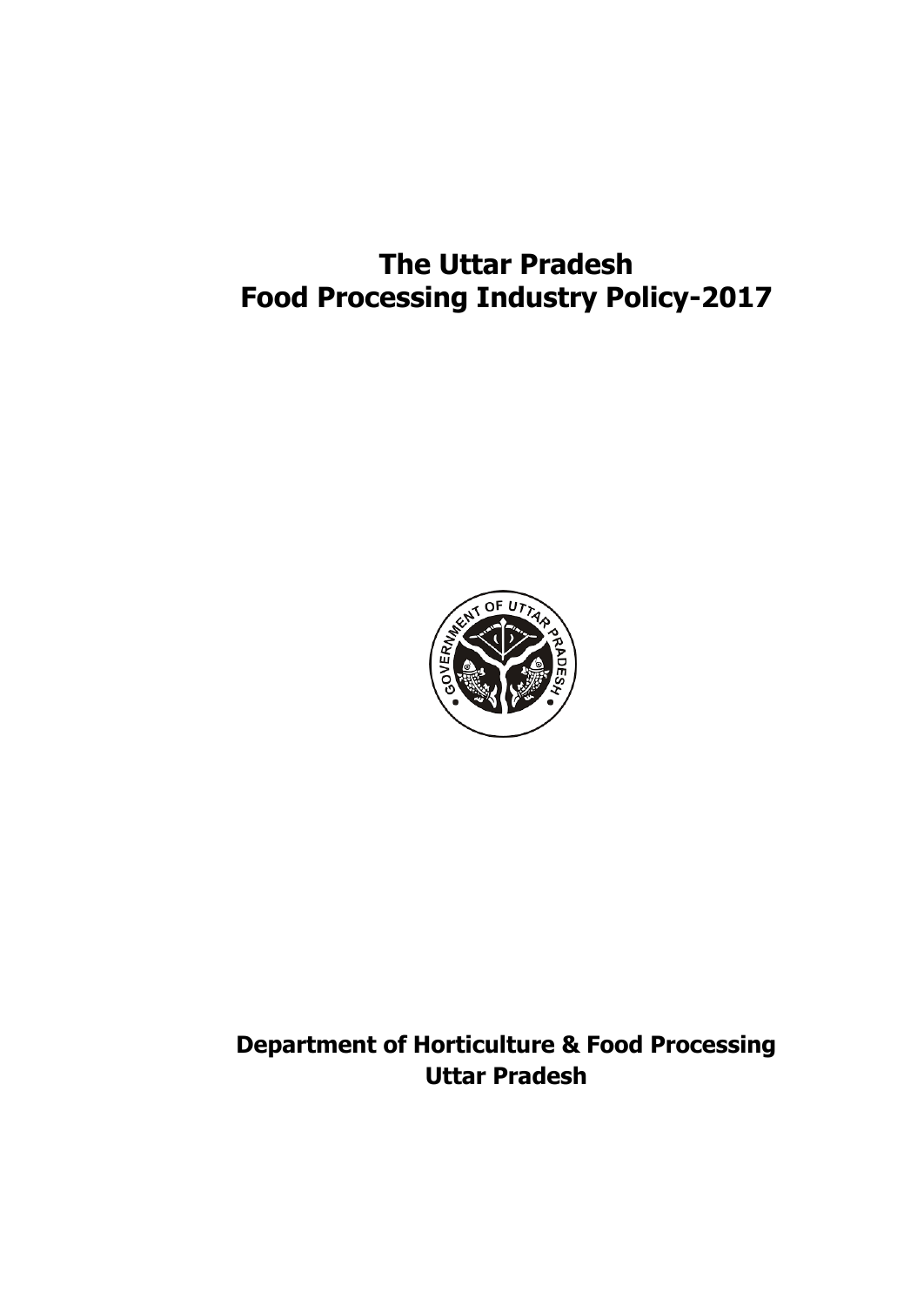# **The Uttar Pradesh Food Processing Industry Policy-2017**



**Department of Horticulture & Food Processing Uttar Pradesh**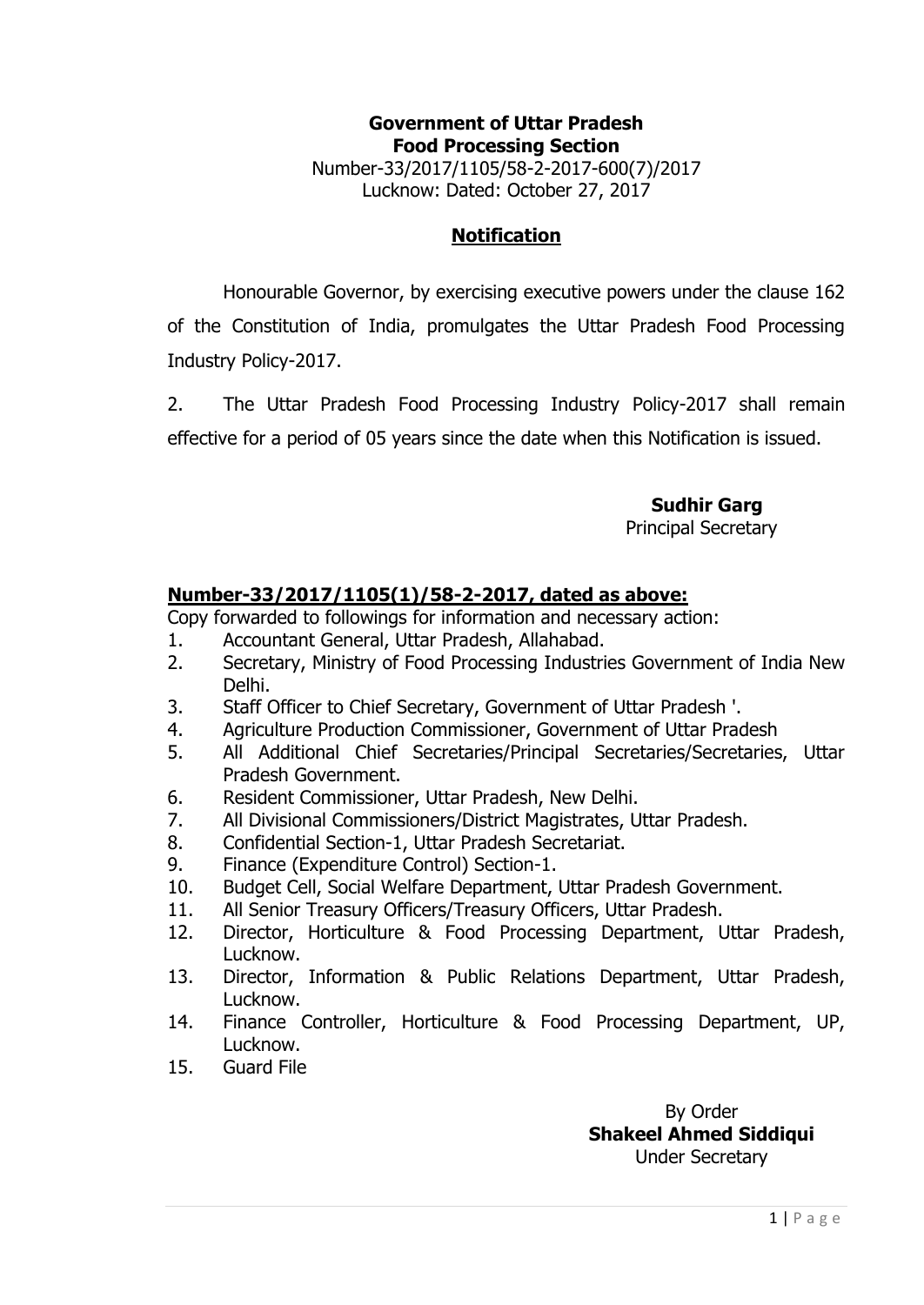#### **Government of Uttar Pradesh Food Processing Section** Number-33/2017/1105/58-2-2017-600(7)/2017 Lucknow: Dated: October 27, 2017

#### **Notification**

Honourable Governor, by exercising executive powers under the clause 162

of the Constitution of India, promulgates the Uttar Pradesh Food Processing Industry Policy-2017.

2. The Uttar Pradesh Food Processing Industry Policy-2017 shall remain effective for a period of 05 years since the date when this Notification is issued.

 **Sudhir Garg**

Principal Secretary

#### **Number-33/2017/1105(1)/58-2-2017, dated as above:**

Copy forwarded to followings for information and necessary action:

- 1. Accountant General, Uttar Pradesh, Allahabad.
- 2. Secretary, Ministry of Food Processing Industries Government of India New Delhi.
- 3. Staff Officer to Chief Secretary, Government of Uttar Pradesh '.
- 4. Agriculture Production Commissioner, Government of Uttar Pradesh
- 5. All Additional Chief Secretaries/Principal Secretaries/Secretaries, Uttar Pradesh Government.
- 6. Resident Commissioner, Uttar Pradesh, New Delhi.
- 7. All Divisional Commissioners/District Magistrates, Uttar Pradesh.
- 8. Confidential Section-1, Uttar Pradesh Secretariat.
- 9. Finance (Expenditure Control) Section-1.
- 10. Budget Cell, Social Welfare Department, Uttar Pradesh Government.
- 11. All Senior Treasury Officers/Treasury Officers, Uttar Pradesh.
- 12. Director, Horticulture & Food Processing Department, Uttar Pradesh, Lucknow.
- 13. Director, Information & Public Relations Department, Uttar Pradesh, Lucknow.
- 14. Finance Controller, Horticulture & Food Processing Department, UP, Lucknow.
- 15. Guard File

By Order **Shakeel Ahmed Siddiqui** Under Secretary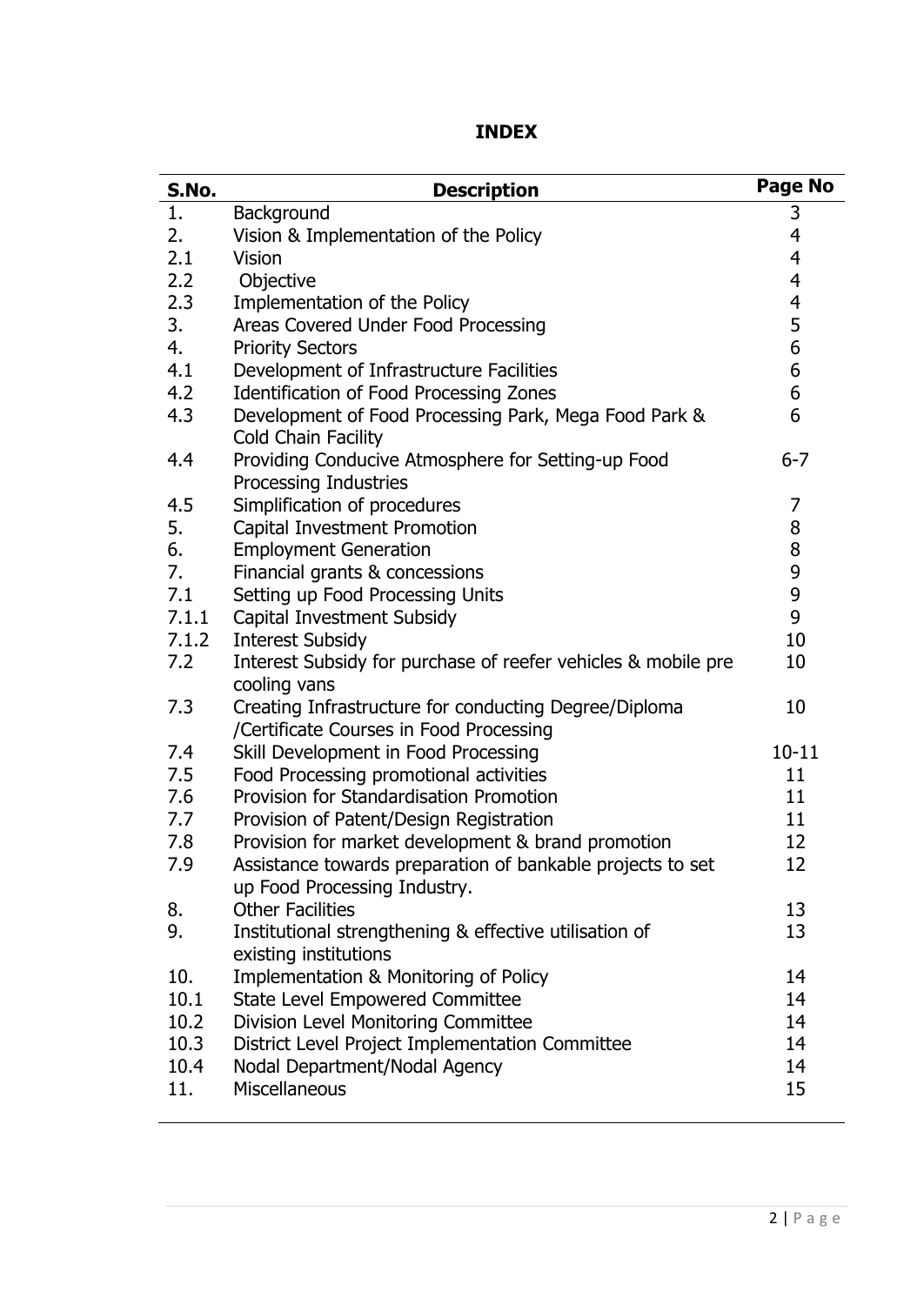| S.No. | <b>Description</b>                                                                               | <b>Page No</b> |
|-------|--------------------------------------------------------------------------------------------------|----------------|
| 1.    | Background                                                                                       | 3              |
| 2.    | Vision & Implementation of the Policy                                                            | 4              |
| 2.1   | <b>Vision</b>                                                                                    | $\overline{4}$ |
| 2.2   | Objective                                                                                        | 4              |
| 2.3   | Implementation of the Policy                                                                     | 4              |
| 3.    | Areas Covered Under Food Processing                                                              | 5              |
| 4.    | <b>Priority Sectors</b>                                                                          | 6              |
| 4.1   | Development of Infrastructure Facilities                                                         | 6              |
| 4.2   | Identification of Food Processing Zones                                                          | 6              |
| 4.3   | Development of Food Processing Park, Mega Food Park &<br>Cold Chain Facility                     | 6              |
| 4.4   | Providing Conducive Atmosphere for Setting-up Food                                               | $6 - 7$        |
|       | Processing Industries                                                                            |                |
| 4.5   | Simplification of procedures                                                                     | 7              |
| 5.    | Capital Investment Promotion                                                                     | 8              |
| 6.    | <b>Employment Generation</b>                                                                     | 8              |
| 7.    | Financial grants & concessions                                                                   | 9              |
| 7.1   | Setting up Food Processing Units                                                                 | 9              |
| 7.1.1 | Capital Investment Subsidy                                                                       | 9              |
| 7.1.2 | <b>Interest Subsidy</b>                                                                          | 10             |
| 7.2   | Interest Subsidy for purchase of reefer vehicles & mobile pre<br>cooling vans                    | 10             |
| 7.3   | Creating Infrastructure for conducting Degree/Diploma<br>/Certificate Courses in Food Processing | 10             |
| 7.4   | Skill Development in Food Processing                                                             | $10 - 11$      |
| 7.5   | Food Processing promotional activities                                                           | 11             |
| 7.6   | Provision for Standardisation Promotion                                                          | 11             |
| 7.7   | Provision of Patent/Design Registration                                                          | 11             |
| 7.8   | Provision for market development & brand promotion                                               | 12             |
| 7.9   | Assistance towards preparation of bankable projects to set<br>up Food Processing Industry.       | 12             |
| 8.    | <b>Other Facilities</b>                                                                          | 13             |
| 9.    | Institutional strengthening & effective utilisation of<br>existing institutions                  | 13             |
| 10.   | Implementation & Monitoring of Policy                                                            | 14             |
| 10.1  | <b>State Level Empowered Committee</b>                                                           | 14             |
| 10.2  | Division Level Monitoring Committee                                                              | 14             |
| 10.3  | District Level Project Implementation Committee                                                  | 14             |
| 10.4  | Nodal Department/Nodal Agency                                                                    | 14             |
| 11.   | <b>Miscellaneous</b>                                                                             | 15             |
|       |                                                                                                  |                |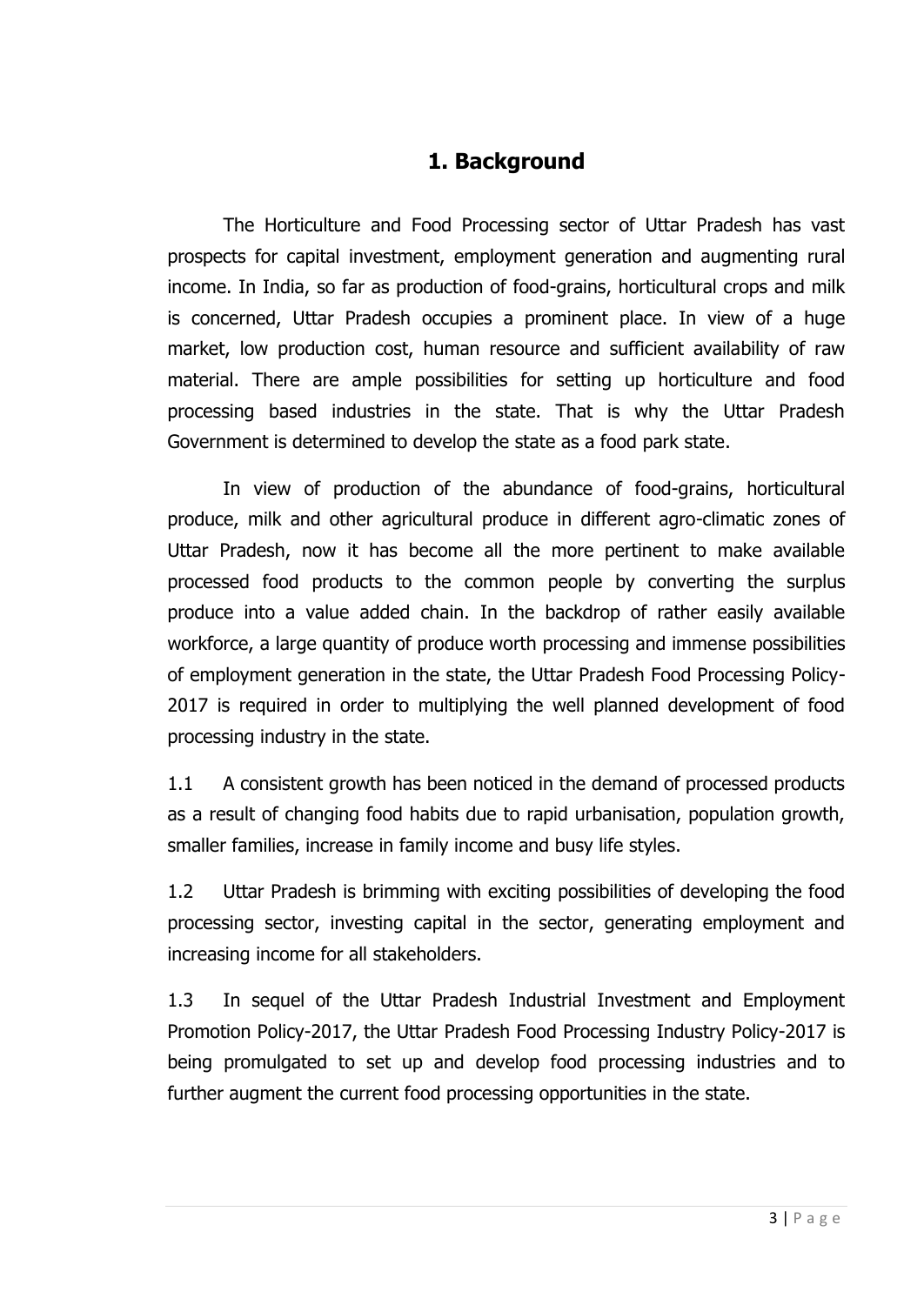### **1. Background**

The Horticulture and Food Processing sector of Uttar Pradesh has vast prospects for capital investment, employment generation and augmenting rural income. In India, so far as production of food-grains, horticultural crops and milk is concerned, Uttar Pradesh occupies a prominent place. In view of a huge market, low production cost, human resource and sufficient availability of raw material. There are ample possibilities for setting up horticulture and food processing based industries in the state. That is why the Uttar Pradesh Government is determined to develop the state as a food park state.

In view of production of the abundance of food-grains, horticultural produce, milk and other agricultural produce in different agro-climatic zones of Uttar Pradesh, now it has become all the more pertinent to make available processed food products to the common people by converting the surplus produce into a value added chain. In the backdrop of rather easily available workforce, a large quantity of produce worth processing and immense possibilities of employment generation in the state, the Uttar Pradesh Food Processing Policy-2017 is required in order to multiplying the well planned development of food processing industry in the state.

1.1 A consistent growth has been noticed in the demand of processed products as a result of changing food habits due to rapid urbanisation, population growth, smaller families, increase in family income and busy life styles.

1.2 Uttar Pradesh is brimming with exciting possibilities of developing the food processing sector, investing capital in the sector, generating employment and increasing income for all stakeholders.

1.3 In sequel of the Uttar Pradesh Industrial Investment and Employment Promotion Policy-2017, the Uttar Pradesh Food Processing Industry Policy-2017 is being promulgated to set up and develop food processing industries and to further augment the current food processing opportunities in the state.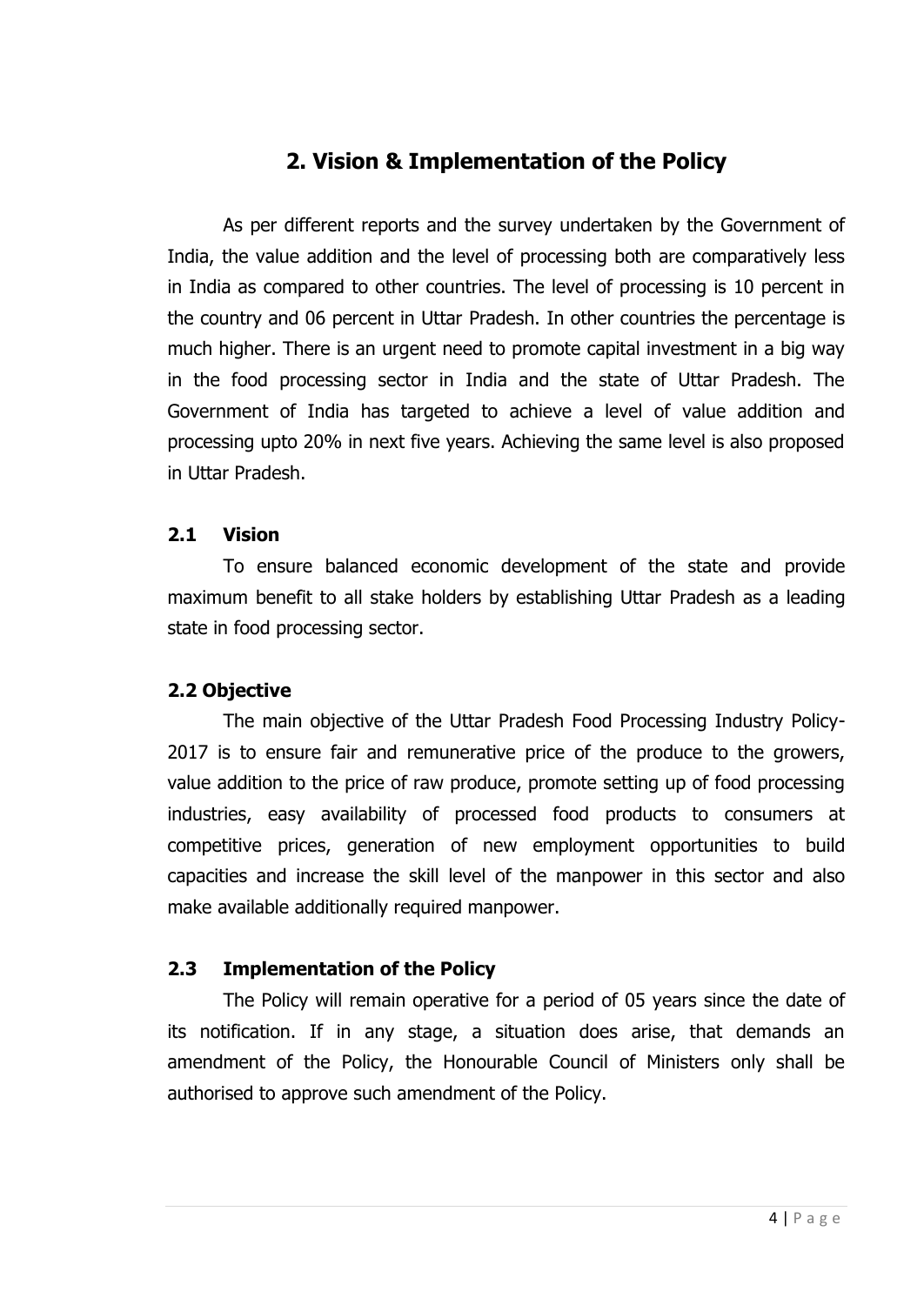## **2. Vision & Implementation of the Policy**

As per different reports and the survey undertaken by the Government of India, the value addition and the level of processing both are comparatively less in India as compared to other countries. The level of processing is 10 percent in the country and 06 percent in Uttar Pradesh. In other countries the percentage is much higher. There is an urgent need to promote capital investment in a big way in the food processing sector in India and the state of Uttar Pradesh. The Government of India has targeted to achieve a level of value addition and processing upto 20% in next five years. Achieving the same level is also proposed in Uttar Pradesh.

#### **2.1 Vision**

To ensure balanced economic development of the state and provide maximum benefit to all stake holders by establishing Uttar Pradesh as a leading state in food processing sector.

#### **2.2 Objective**

The main objective of the Uttar Pradesh Food Processing Industry Policy-2017 is to ensure fair and remunerative price of the produce to the growers, value addition to the price of raw produce, promote setting up of food processing industries, easy availability of processed food products to consumers at competitive prices, generation of new employment opportunities to build capacities and increase the skill level of the manpower in this sector and also make available additionally required manpower.

### **2.3 Implementation of the Policy**

The Policy will remain operative for a period of 05 years since the date of its notification. If in any stage, a situation does arise, that demands an amendment of the Policy, the Honourable Council of Ministers only shall be authorised to approve such amendment of the Policy.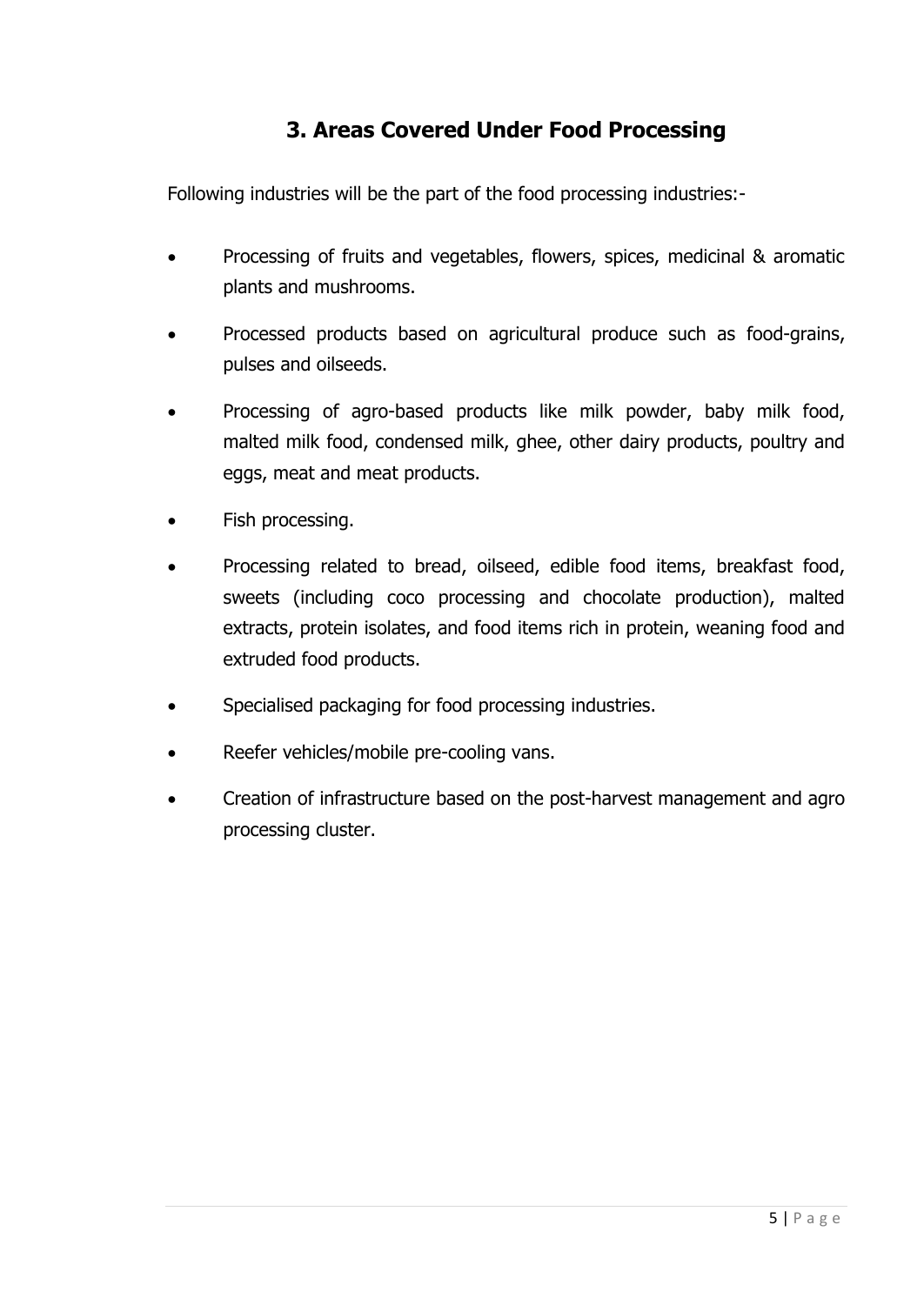# **3. Areas Covered Under Food Processing**

Following industries will be the part of the food processing industries:-

- Processing of fruits and vegetables, flowers, spices, medicinal & aromatic plants and mushrooms.
- Processed products based on agricultural produce such as food-grains, pulses and oilseeds.
- Processing of agro-based products like milk powder, baby milk food, malted milk food, condensed milk, ghee, other dairy products, poultry and eggs, meat and meat products.
- Fish processing.
- Processing related to bread, oilseed, edible food items, breakfast food, sweets (including coco processing and chocolate production), malted extracts, protein isolates, and food items rich in protein, weaning food and extruded food products.
- Specialised packaging for food processing industries.
- Reefer vehicles/mobile pre-cooling vans.
- Creation of infrastructure based on the post-harvest management and agro processing cluster.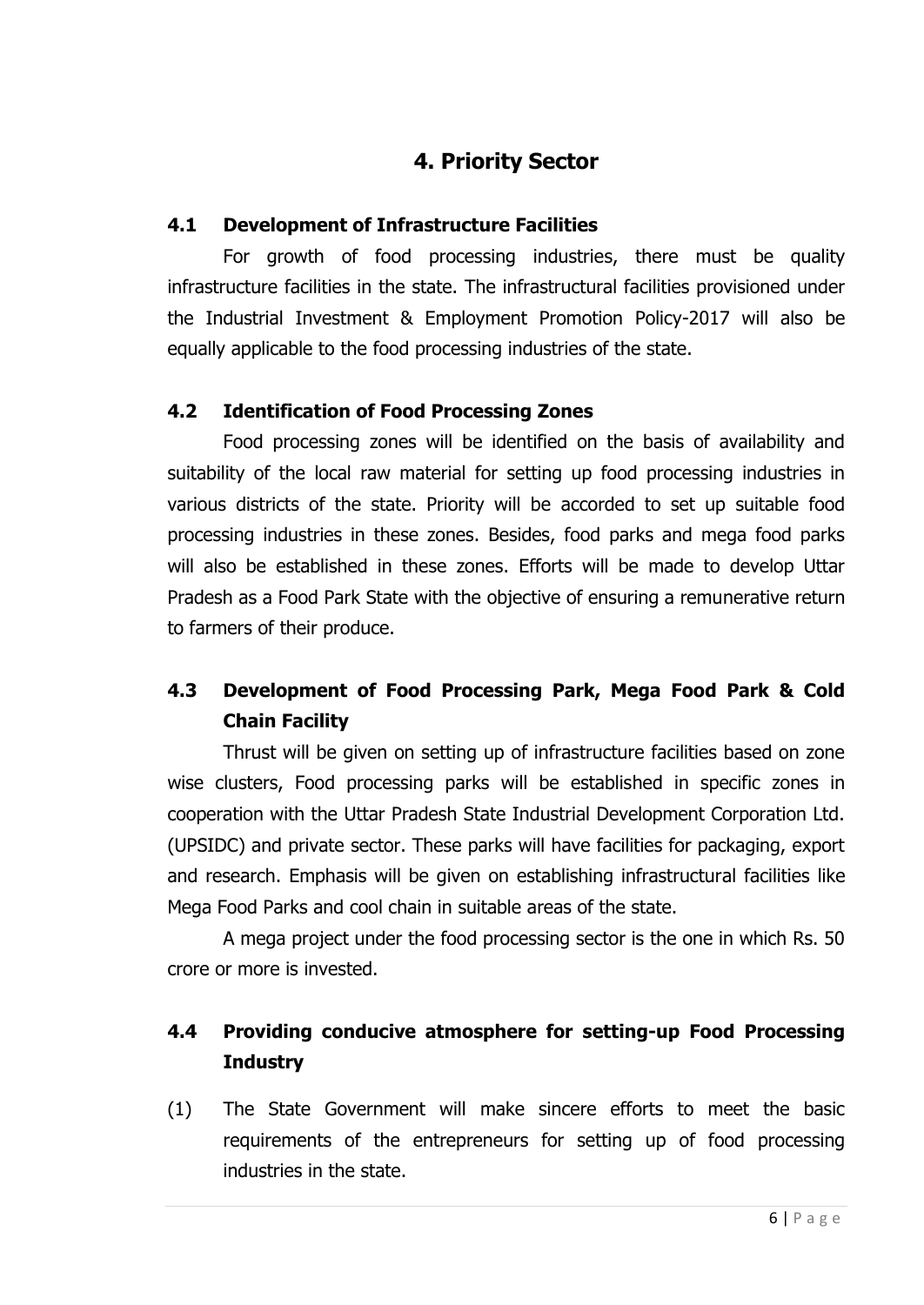## **4. Priority Sector**

### **4.1 Development of Infrastructure Facilities**

For growth of food processing industries, there must be quality infrastructure facilities in the state. The infrastructural facilities provisioned under the Industrial Investment & Employment Promotion Policy-2017 will also be equally applicable to the food processing industries of the state.

#### **4.2 Identification of Food Processing Zones**

Food processing zones will be identified on the basis of availability and suitability of the local raw material for setting up food processing industries in various districts of the state. Priority will be accorded to set up suitable food processing industries in these zones. Besides, food parks and mega food parks will also be established in these zones. Efforts will be made to develop Uttar Pradesh as a Food Park State with the objective of ensuring a remunerative return to farmers of their produce.

### **4.3 Development of Food Processing Park, Mega Food Park & Cold Chain Facility**

Thrust will be given on setting up of infrastructure facilities based on zone wise clusters, Food processing parks will be established in specific zones in cooperation with the Uttar Pradesh State Industrial Development Corporation Ltd. (UPSIDC) and private sector. These parks will have facilities for packaging, export and research. Emphasis will be given on establishing infrastructural facilities like Mega Food Parks and cool chain in suitable areas of the state.

A mega project under the food processing sector is the one in which Rs. 50 crore or more is invested.

### **4.4 Providing conducive atmosphere for setting-up Food Processing Industry**

(1) The State Government will make sincere efforts to meet the basic requirements of the entrepreneurs for setting up of food processing industries in the state.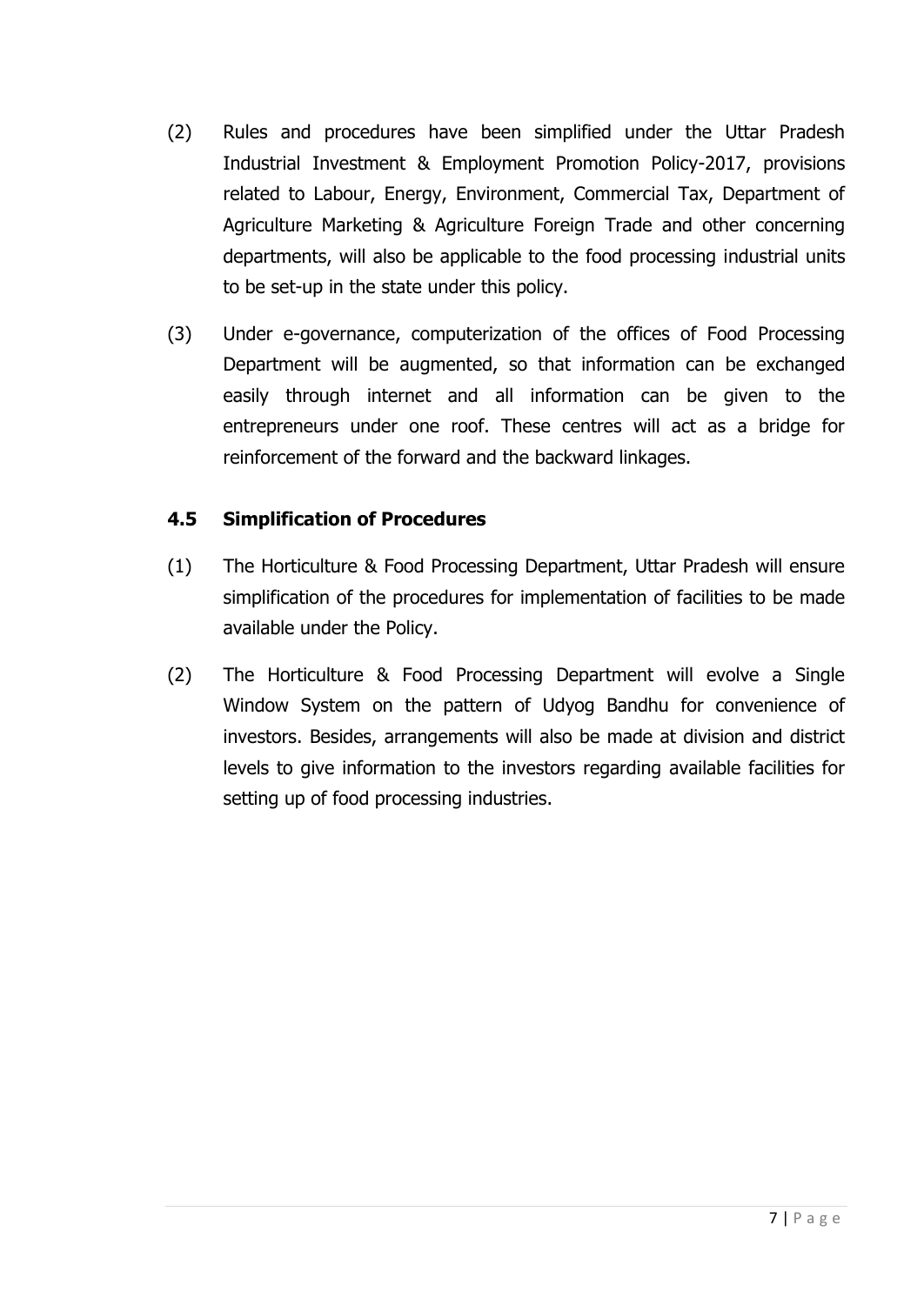- (2) Rules and procedures have been simplified under the Uttar Pradesh Industrial Investment & Employment Promotion Policy-2017, provisions related to Labour, Energy, Environment, Commercial Tax, Department of Agriculture Marketing & Agriculture Foreign Trade and other concerning departments, will also be applicable to the food processing industrial units to be set-up in the state under this policy.
- (3) Under e-governance, computerization of the offices of Food Processing Department will be augmented, so that information can be exchanged easily through internet and all information can be given to the entrepreneurs under one roof. These centres will act as a bridge for reinforcement of the forward and the backward linkages.

#### **4.5 Simplification of Procedures**

- (1) The Horticulture & Food Processing Department, Uttar Pradesh will ensure simplification of the procedures for implementation of facilities to be made available under the Policy.
- (2) The Horticulture & Food Processing Department will evolve a Single Window System on the pattern of Udyog Bandhu for convenience of investors. Besides, arrangements will also be made at division and district levels to give information to the investors regarding available facilities for setting up of food processing industries.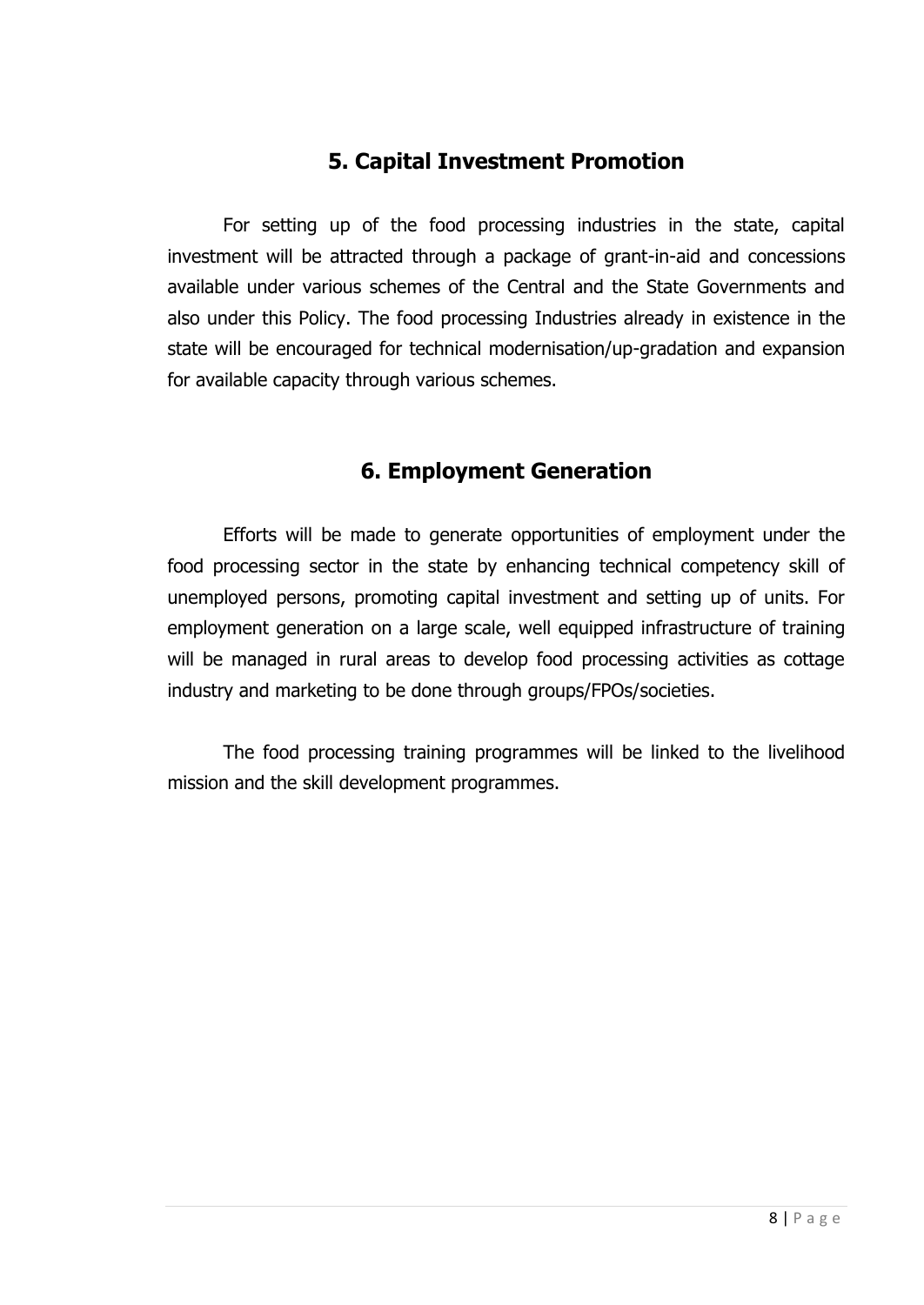### **5. Capital Investment Promotion**

For setting up of the food processing industries in the state, capital investment will be attracted through a package of grant-in-aid and concessions available under various schemes of the Central and the State Governments and also under this Policy. The food processing Industries already in existence in the state will be encouraged for technical modernisation/up-gradation and expansion for available capacity through various schemes.

### **6. Employment Generation**

Efforts will be made to generate opportunities of employment under the food processing sector in the state by enhancing technical competency skill of unemployed persons, promoting capital investment and setting up of units. For employment generation on a large scale, well equipped infrastructure of training will be managed in rural areas to develop food processing activities as cottage industry and marketing to be done through groups/FPOs/societies.

The food processing training programmes will be linked to the livelihood mission and the skill development programmes.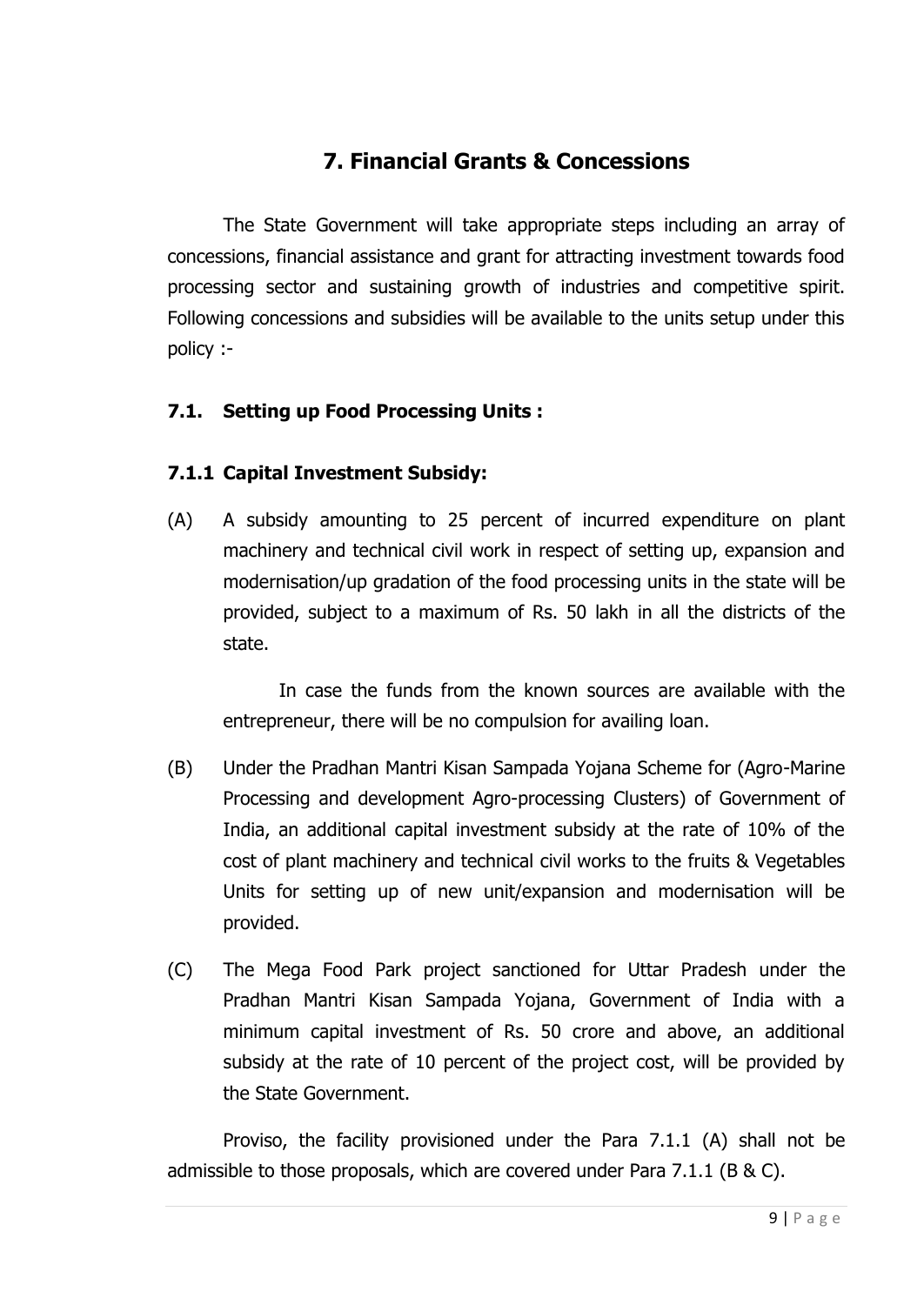# **7. Financial Grants & Concessions**

The State Government will take appropriate steps including an array of concessions, financial assistance and grant for attracting investment towards food processing sector and sustaining growth of industries and competitive spirit. Following concessions and subsidies will be available to the units setup under this policy :-

#### **7.1. Setting up Food Processing Units :**

#### **7.1.1 Capital Investment Subsidy:**

(A) A subsidy amounting to 25 percent of incurred expenditure on plant machinery and technical civil work in respect of setting up, expansion and modernisation/up gradation of the food processing units in the state will be provided, subject to a maximum of Rs. 50 lakh in all the districts of the state.

In case the funds from the known sources are available with the entrepreneur, there will be no compulsion for availing loan.

- (B) Under the Pradhan Mantri Kisan Sampada Yojana Scheme for (Agro-Marine Processing and development Agro-processing Clusters) of Government of India, an additional capital investment subsidy at the rate of 10% of the cost of plant machinery and technical civil works to the fruits & Vegetables Units for setting up of new unit/expansion and modernisation will be provided.
- (C) The Mega Food Park project sanctioned for Uttar Pradesh under the Pradhan Mantri Kisan Sampada Yojana, Government of India with a minimum capital investment of Rs. 50 crore and above, an additional subsidy at the rate of 10 percent of the project cost, will be provided by the State Government.

Proviso, the facility provisioned under the Para 7.1.1 (A) shall not be admissible to those proposals, which are covered under Para 7.1.1 (B & C).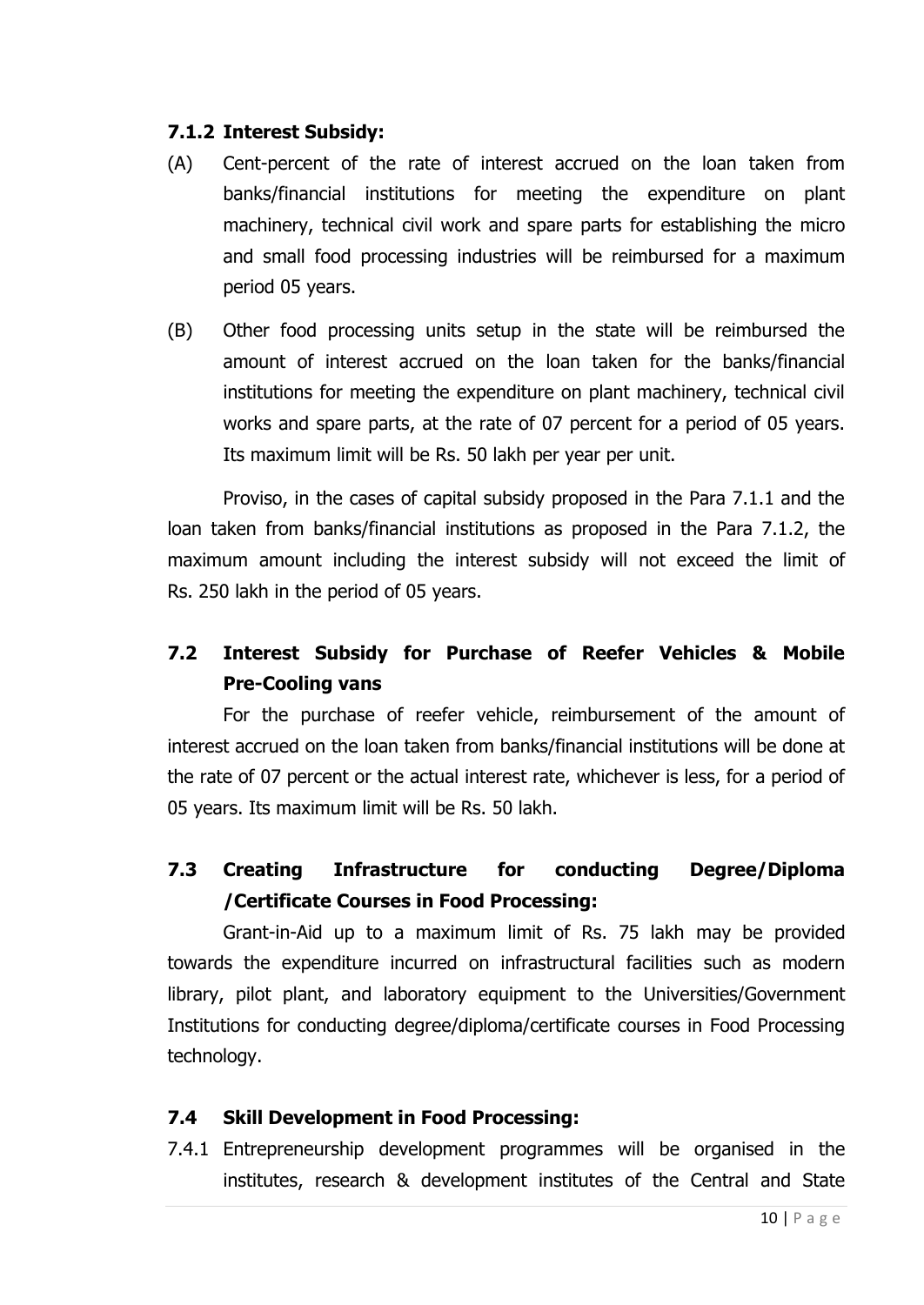#### **7.1.2 Interest Subsidy:**

- (A) Cent-percent of the rate of interest accrued on the loan taken from banks/financial institutions for meeting the expenditure on plant machinery, technical civil work and spare parts for establishing the micro and small food processing industries will be reimbursed for a maximum period 05 years.
- (B) Other food processing units setup in the state will be reimbursed the amount of interest accrued on the loan taken for the banks/financial institutions for meeting the expenditure on plant machinery, technical civil works and spare parts, at the rate of 07 percent for a period of 05 years. Its maximum limit will be Rs. 50 lakh per year per unit.

Proviso, in the cases of capital subsidy proposed in the Para 7.1.1 and the loan taken from banks/financial institutions as proposed in the Para 7.1.2, the maximum amount including the interest subsidy will not exceed the limit of Rs. 250 lakh in the period of 05 years.

### **7.2 Interest Subsidy for Purchase of Reefer Vehicles & Mobile Pre-Cooling vans**

For the purchase of reefer vehicle, reimbursement of the amount of interest accrued on the loan taken from banks/financial institutions will be done at the rate of 07 percent or the actual interest rate, whichever is less, for a period of 05 years. Its maximum limit will be Rs. 50 lakh.

### **7.3 Creating Infrastructure for conducting Degree/Diploma /Certificate Courses in Food Processing:**

Grant-in-Aid up to a maximum limit of Rs. 75 lakh may be provided towards the expenditure incurred on infrastructural facilities such as modern library, pilot plant, and laboratory equipment to the Universities/Government Institutions for conducting degree/diploma/certificate courses in Food Processing technology.

#### **7.4 Skill Development in Food Processing:**

7.4.1 Entrepreneurship development programmes will be organised in the institutes, research & development institutes of the Central and State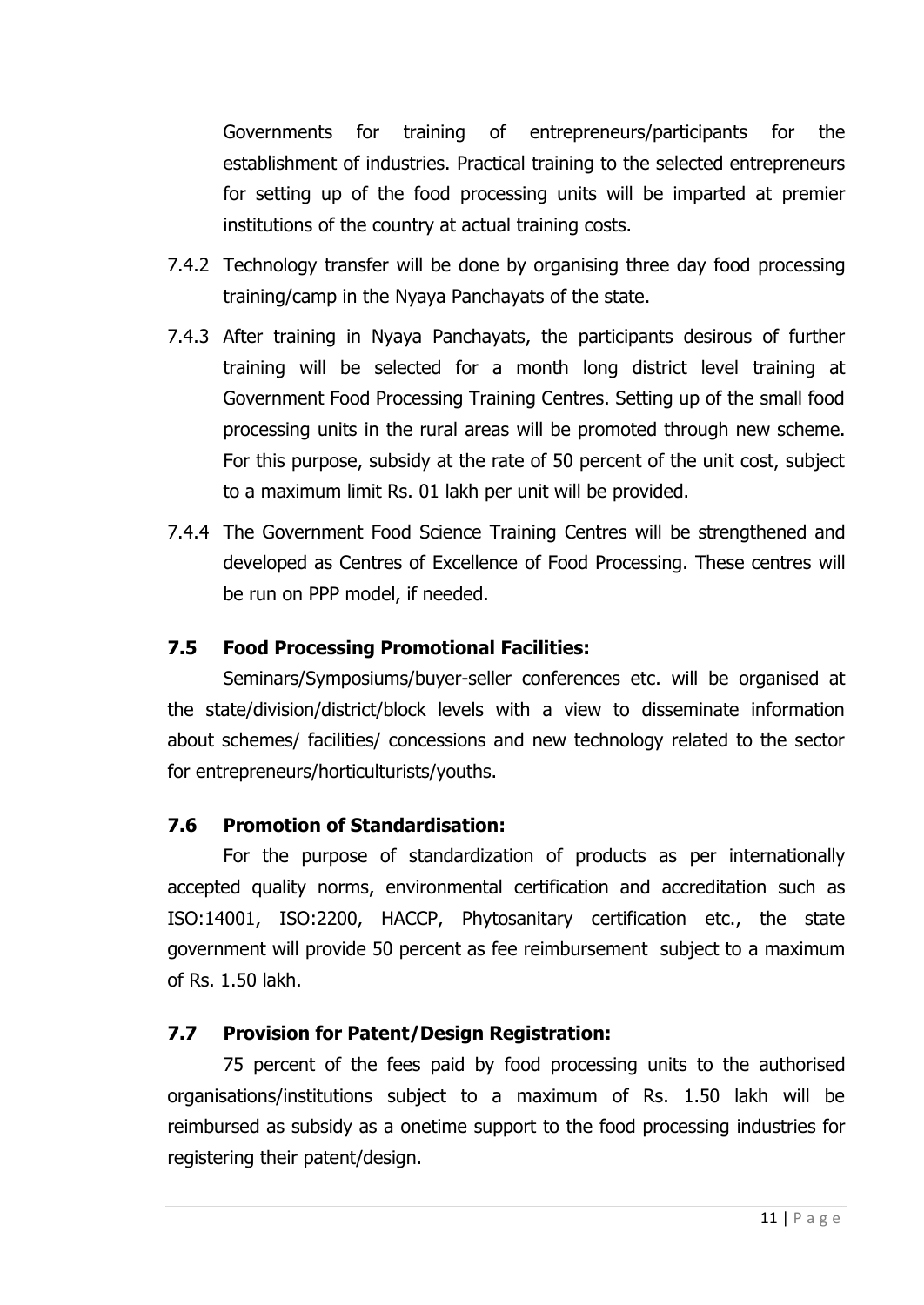Governments for training of entrepreneurs/participants for the establishment of industries. Practical training to the selected entrepreneurs for setting up of the food processing units will be imparted at premier institutions of the country at actual training costs.

- 7.4.2 Technology transfer will be done by organising three day food processing training/camp in the Nyaya Panchayats of the state.
- 7.4.3 After training in Nyaya Panchayats, the participants desirous of further training will be selected for a month long district level training at Government Food Processing Training Centres. Setting up of the small food processing units in the rural areas will be promoted through new scheme. For this purpose, subsidy at the rate of 50 percent of the unit cost, subject to a maximum limit Rs. 01 lakh per unit will be provided.
- 7.4.4 The Government Food Science Training Centres will be strengthened and developed as Centres of Excellence of Food Processing. These centres will be run on PPP model, if needed.

#### **7.5 Food Processing Promotional Facilities:**

Seminars/Symposiums/buyer-seller conferences etc. will be organised at the state/division/district/block levels with a view to disseminate information about schemes/ facilities/ concessions and new technology related to the sector for entrepreneurs/horticulturists/youths.

#### **7.6 Promotion of Standardisation:**

For the purpose of standardization of products as per internationally accepted quality norms, environmental certification and accreditation such as ISO:14001, ISO:2200, HACCP, Phytosanitary certification etc., the state government will provide 50 percent as fee reimbursement subject to a maximum of Rs. 1.50 lakh.

#### **7.7 Provision for Patent/Design Registration:**

75 percent of the fees paid by food processing units to the authorised organisations/institutions subject to a maximum of Rs. 1.50 lakh will be reimbursed as subsidy as a onetime support to the food processing industries for registering their patent/design.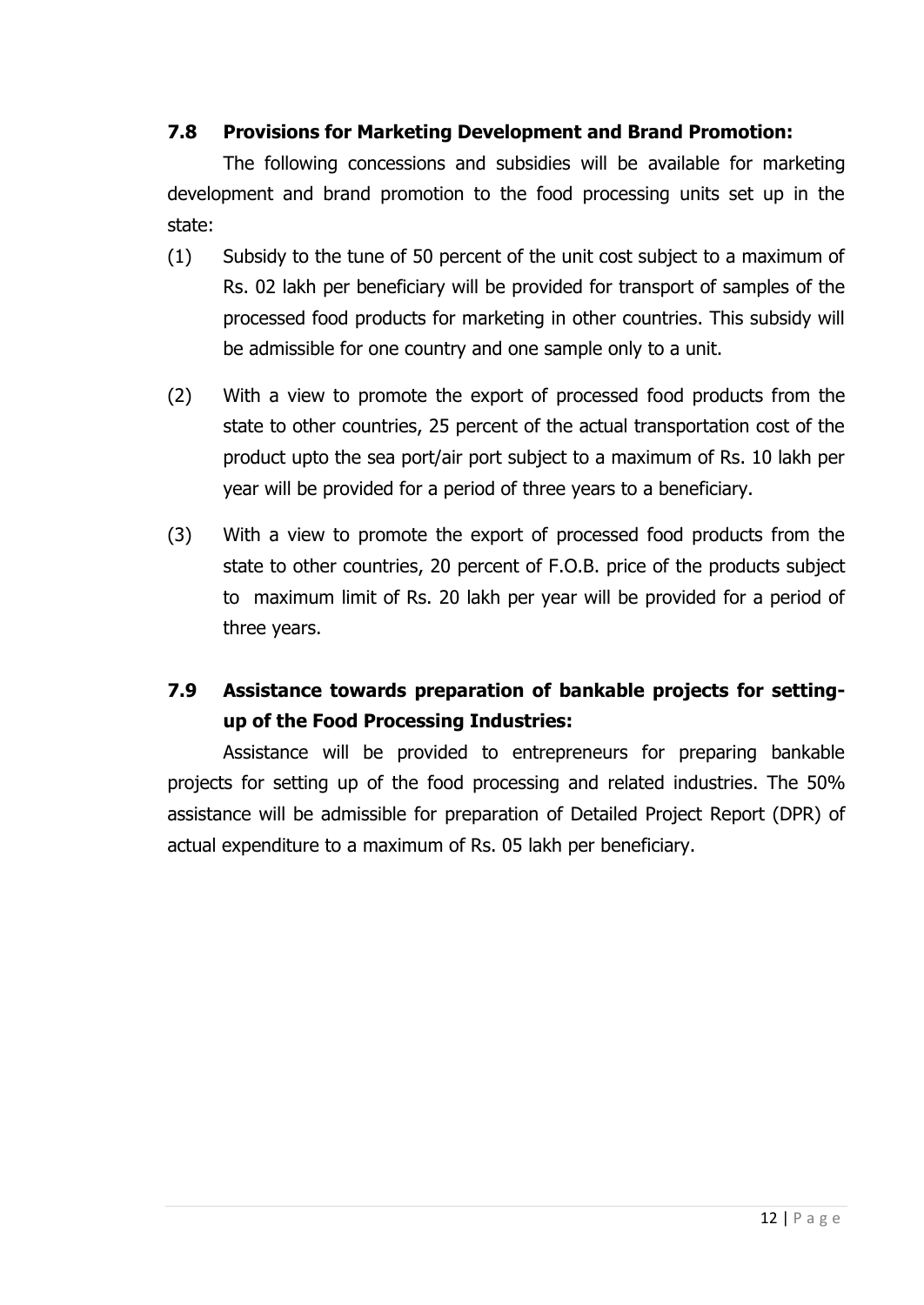#### **7.8 Provisions for Marketing Development and Brand Promotion:**

The following concessions and subsidies will be available for marketing development and brand promotion to the food processing units set up in the state:

- (1) Subsidy to the tune of 50 percent of the unit cost subject to a maximum of Rs. 02 lakh per beneficiary will be provided for transport of samples of the processed food products for marketing in other countries. This subsidy will be admissible for one country and one sample only to a unit.
- (2) With a view to promote the export of processed food products from the state to other countries, 25 percent of the actual transportation cost of the product upto the sea port/air port subject to a maximum of Rs. 10 lakh per year will be provided for a period of three years to a beneficiary.
- (3) With a view to promote the export of processed food products from the state to other countries, 20 percent of F.O.B. price of the products subject to maximum limit of Rs. 20 lakh per year will be provided for a period of three years.

## **7.9 Assistance towards preparation of bankable projects for settingup of the Food Processing Industries:**

Assistance will be provided to entrepreneurs for preparing bankable projects for setting up of the food processing and related industries. The 50% assistance will be admissible for preparation of Detailed Project Report (DPR) of actual expenditure to a maximum of Rs. 05 lakh per beneficiary.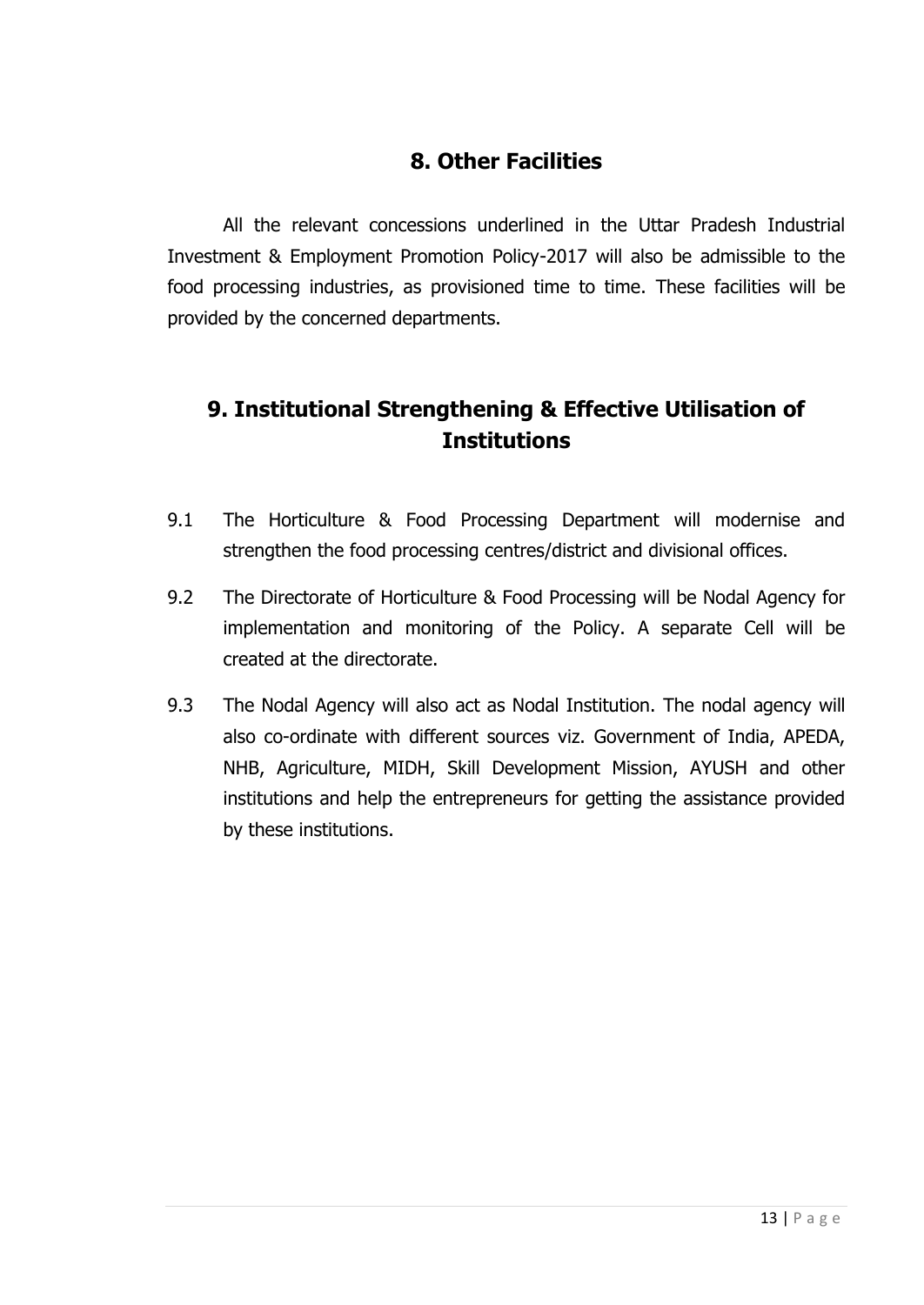### **8. Other Facilities**

All the relevant concessions underlined in the Uttar Pradesh Industrial Investment & Employment Promotion Policy-2017 will also be admissible to the food processing industries, as provisioned time to time. These facilities will be provided by the concerned departments.

# **9. Institutional Strengthening & Effective Utilisation of Institutions**

- 9.1 The Horticulture & Food Processing Department will modernise and strengthen the food processing centres/district and divisional offices.
- 9.2 The Directorate of Horticulture & Food Processing will be Nodal Agency for implementation and monitoring of the Policy. A separate Cell will be created at the directorate.
- 9.3 The Nodal Agency will also act as Nodal Institution. The nodal agency will also co-ordinate with different sources viz. Government of India, APEDA, NHB, Agriculture, MIDH, Skill Development Mission, AYUSH and other institutions and help the entrepreneurs for getting the assistance provided by these institutions.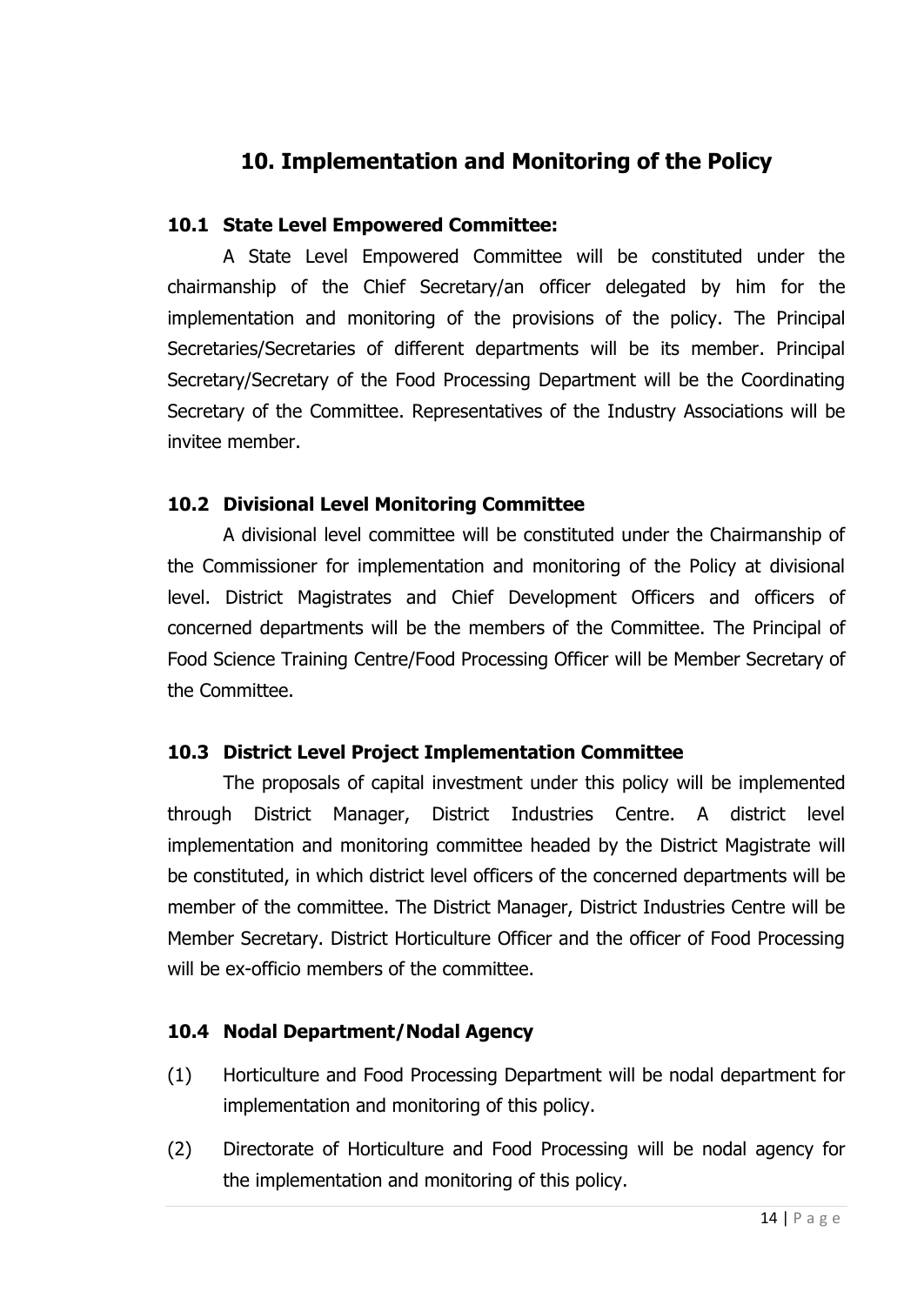# **10. Implementation and Monitoring of the Policy**

#### **10.1 State Level Empowered Committee:**

A State Level Empowered Committee will be constituted under the chairmanship of the Chief Secretary/an officer delegated by him for the implementation and monitoring of the provisions of the policy. The Principal Secretaries/Secretaries of different departments will be its member. Principal Secretary/Secretary of the Food Processing Department will be the Coordinating Secretary of the Committee. Representatives of the Industry Associations will be invitee member.

#### **10.2 Divisional Level Monitoring Committee**

A divisional level committee will be constituted under the Chairmanship of the Commissioner for implementation and monitoring of the Policy at divisional level. District Magistrates and Chief Development Officers and officers of concerned departments will be the members of the Committee. The Principal of Food Science Training Centre/Food Processing Officer will be Member Secretary of the Committee.

#### **10.3 District Level Project Implementation Committee**

The proposals of capital investment under this policy will be implemented through District Manager, District Industries Centre. A district level implementation and monitoring committee headed by the District Magistrate will be constituted, in which district level officers of the concerned departments will be member of the committee. The District Manager, District Industries Centre will be Member Secretary. District Horticulture Officer and the officer of Food Processing will be ex-officio members of the committee.

#### **10.4 Nodal Department/Nodal Agency**

- (1) Horticulture and Food Processing Department will be nodal department for implementation and monitoring of this policy.
- (2) Directorate of Horticulture and Food Processing will be nodal agency for the implementation and monitoring of this policy.